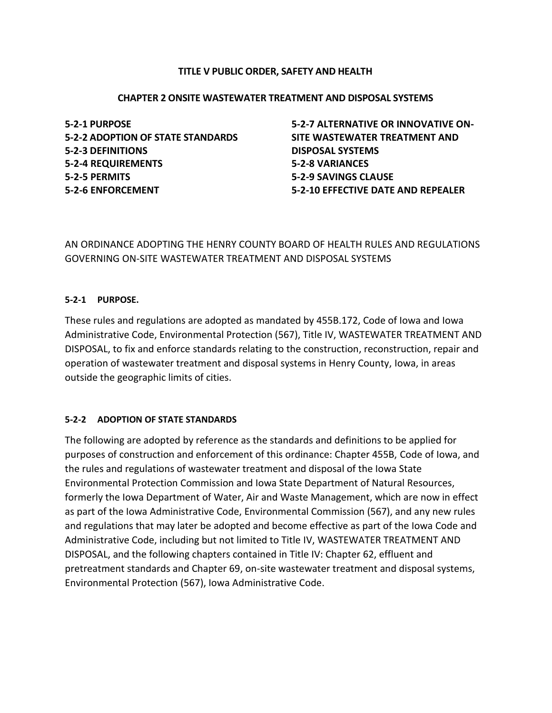### **TITLE V PUBLIC ORDER, SAFETY AND HEALTH**

#### **CHAPTER 2 ONSITE WASTEWATER TREATMENT AND DISPOSAL SYSTEMS**

**5-2-1 PURPOSE 5-2-2 ADOPTION OF STATE STANDARDS 5-2-3 DEFINITIONS 5-2-4 REQUIREMENTS 5-2-5 PERMITS 5-2-6 ENFORCEMENT**

**5-2-7 ALTERNATIVE OR INNOVATIVE ON-SITE WASTEWATER TREATMENT AND DISPOSAL SYSTEMS 5-2-8 VARIANCES 5-2-9 SAVINGS CLAUSE 5-2-10 EFFECTIVE DATE AND REPEALER**

AN ORDINANCE ADOPTING THE HENRY COUNTY BOARD OF HEALTH RULES AND REGULATIONS GOVERNING ON-SITE WASTEWATER TREATMENT AND DISPOSAL SYSTEMS

#### **5-2-1 PURPOSE.**

These rules and regulations are adopted as mandated by 455B.172, Code of Iowa and Iowa Administrative Code, Environmental Protection (567), Title IV, WASTEWATER TREATMENT AND DISPOSAL, to fix and enforce standards relating to the construction, reconstruction, repair and operation of wastewater treatment and disposal systems in Henry County, Iowa, in areas outside the geographic limits of cities.

### **5-2-2 ADOPTION OF STATE STANDARDS**

The following are adopted by reference as the standards and definitions to be applied for purposes of construction and enforcement of this ordinance: Chapter 455B, Code of Iowa, and the rules and regulations of wastewater treatment and disposal of the Iowa State Environmental Protection Commission and Iowa State Department of Natural Resources, formerly the Iowa Department of Water, Air and Waste Management, which are now in effect as part of the Iowa Administrative Code, Environmental Commission (567), and any new rules and regulations that may later be adopted and become effective as part of the Iowa Code and Administrative Code, including but not limited to Title IV, WASTEWATER TREATMENT AND DISPOSAL, and the following chapters contained in Title IV: Chapter 62, effluent and pretreatment standards and Chapter 69, on-site wastewater treatment and disposal systems, Environmental Protection (567), Iowa Administrative Code.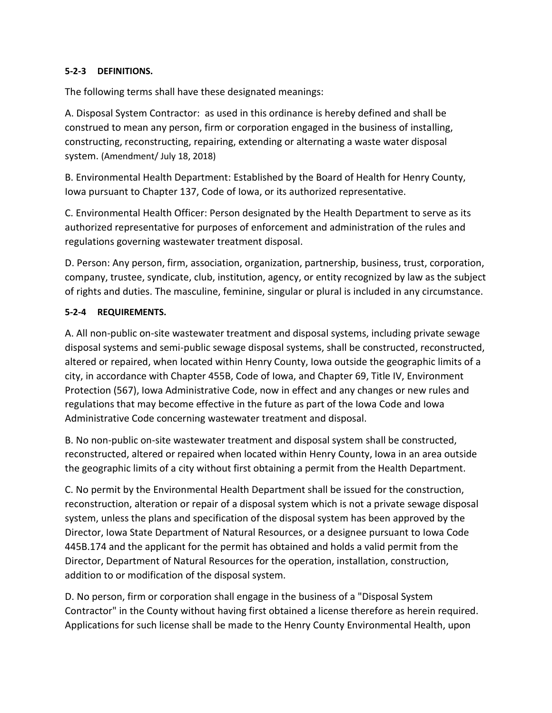## **5-2-3 DEFINITIONS.**

The following terms shall have these designated meanings:

A. Disposal System Contractor: as used in this ordinance is hereby defined and shall be construed to mean any person, firm or corporation engaged in the business of installing, constructing, reconstructing, repairing, extending or alternating a waste water disposal system. (Amendment/ July 18, 2018)

B. Environmental Health Department: Established by the Board of Health for Henry County, Iowa pursuant to Chapter 137, Code of Iowa, or its authorized representative.

C. Environmental Health Officer: Person designated by the Health Department to serve as its authorized representative for purposes of enforcement and administration of the rules and regulations governing wastewater treatment disposal.

D. Person: Any person, firm, association, organization, partnership, business, trust, corporation, company, trustee, syndicate, club, institution, agency, or entity recognized by law as the subject of rights and duties. The masculine, feminine, singular or plural is included in any circumstance.

## **5-2-4 REQUIREMENTS.**

A. All non-public on-site wastewater treatment and disposal systems, including private sewage disposal systems and semi-public sewage disposal systems, shall be constructed, reconstructed, altered or repaired, when located within Henry County, Iowa outside the geographic limits of a city, in accordance with Chapter 455B, Code of Iowa, and Chapter 69, Title IV, Environment Protection (567), Iowa Administrative Code, now in effect and any changes or new rules and regulations that may become effective in the future as part of the Iowa Code and Iowa Administrative Code concerning wastewater treatment and disposal.

B. No non-public on-site wastewater treatment and disposal system shall be constructed, reconstructed, altered or repaired when located within Henry County, Iowa in an area outside the geographic limits of a city without first obtaining a permit from the Health Department.

C. No permit by the Environmental Health Department shall be issued for the construction, reconstruction, alteration or repair of a disposal system which is not a private sewage disposal system, unless the plans and specification of the disposal system has been approved by the Director, Iowa State Department of Natural Resources, or a designee pursuant to Iowa Code 445B.174 and the applicant for the permit has obtained and holds a valid permit from the Director, Department of Natural Resources for the operation, installation, construction, addition to or modification of the disposal system.

D. No person, firm or corporation shall engage in the business of a "Disposal System Contractor" in the County without having first obtained a license therefore as herein required. Applications for such license shall be made to the Henry County Environmental Health, upon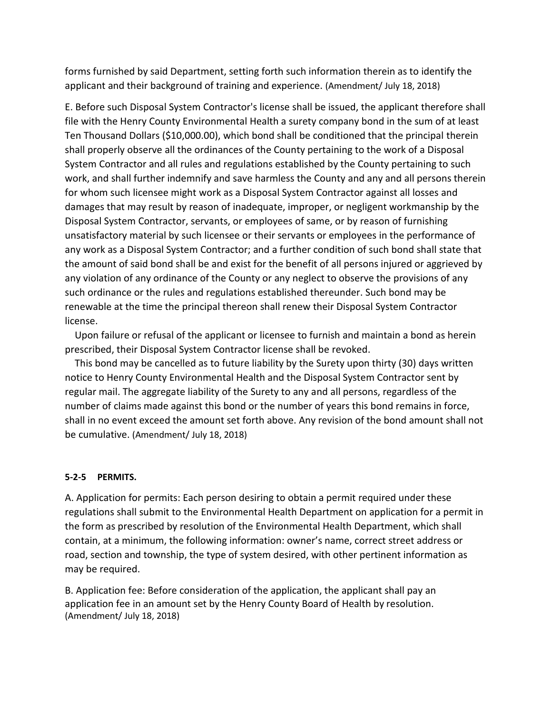forms furnished by said Department, setting forth such information therein as to identify the applicant and their background of training and experience. (Amendment/ July 18, 2018)

E. Before such Disposal System Contractor's license shall be issued, the applicant therefore shall file with the Henry County Environmental Health a surety company bond in the sum of at least Ten Thousand Dollars (\$10,000.00), which bond shall be conditioned that the principal therein shall properly observe all the ordinances of the County pertaining to the work of a Disposal System Contractor and all rules and regulations established by the County pertaining to such work, and shall further indemnify and save harmless the County and any and all persons therein for whom such licensee might work as a Disposal System Contractor against all losses and damages that may result by reason of inadequate, improper, or negligent workmanship by the Disposal System Contractor, servants, or employees of same, or by reason of furnishing unsatisfactory material by such licensee or their servants or employees in the performance of any work as a Disposal System Contractor; and a further condition of such bond shall state that the amount of said bond shall be and exist for the benefit of all persons injured or aggrieved by any violation of any ordinance of the County or any neglect to observe the provisions of any such ordinance or the rules and regulations established thereunder. Such bond may be renewable at the time the principal thereon shall renew their Disposal System Contractor license.

 Upon failure or refusal of the applicant or licensee to furnish and maintain a bond as herein prescribed, their Disposal System Contractor license shall be revoked.

 This bond may be cancelled as to future liability by the Surety upon thirty (30) days written notice to Henry County Environmental Health and the Disposal System Contractor sent by regular mail. The aggregate liability of the Surety to any and all persons, regardless of the number of claims made against this bond or the number of years this bond remains in force, shall in no event exceed the amount set forth above. Any revision of the bond amount shall not be cumulative. (Amendment/ July 18, 2018)

#### **5-2-5 PERMITS.**

A. Application for permits: Each person desiring to obtain a permit required under these regulations shall submit to the Environmental Health Department on application for a permit in the form as prescribed by resolution of the Environmental Health Department, which shall contain, at a minimum, the following information: owner's name, correct street address or road, section and township, the type of system desired, with other pertinent information as may be required.

B. Application fee: Before consideration of the application, the applicant shall pay an application fee in an amount set by the Henry County Board of Health by resolution. (Amendment/ July 18, 2018)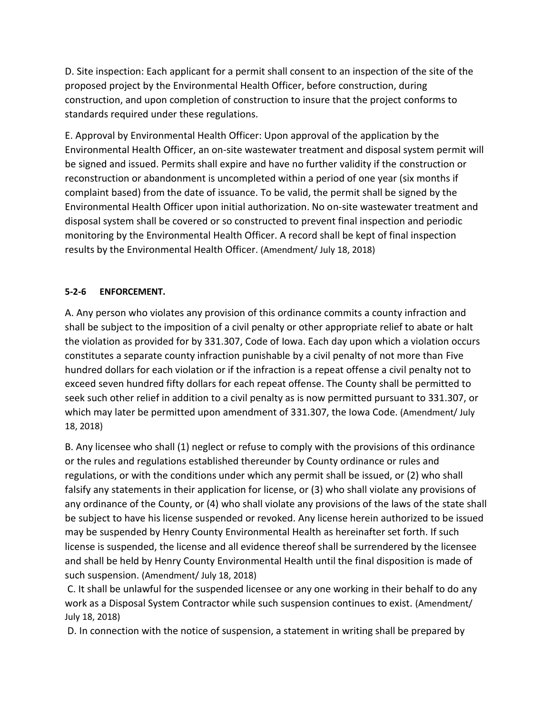D. Site inspection: Each applicant for a permit shall consent to an inspection of the site of the proposed project by the Environmental Health Officer, before construction, during construction, and upon completion of construction to insure that the project conforms to standards required under these regulations.

E. Approval by Environmental Health Officer: Upon approval of the application by the Environmental Health Officer, an on-site wastewater treatment and disposal system permit will be signed and issued. Permits shall expire and have no further validity if the construction or reconstruction or abandonment is uncompleted within a period of one year (six months if complaint based) from the date of issuance. To be valid, the permit shall be signed by the Environmental Health Officer upon initial authorization. No on-site wastewater treatment and disposal system shall be covered or so constructed to prevent final inspection and periodic monitoring by the Environmental Health Officer. A record shall be kept of final inspection results by the Environmental Health Officer. (Amendment/ July 18, 2018)

# **5-2-6 ENFORCEMENT.**

A. Any person who violates any provision of this ordinance commits a county infraction and shall be subject to the imposition of a civil penalty or other appropriate relief to abate or halt the violation as provided for by 331.307, Code of Iowa. Each day upon which a violation occurs constitutes a separate county infraction punishable by a civil penalty of not more than Five hundred dollars for each violation or if the infraction is a repeat offense a civil penalty not to exceed seven hundred fifty dollars for each repeat offense. The County shall be permitted to seek such other relief in addition to a civil penalty as is now permitted pursuant to 331.307, or which may later be permitted upon amendment of 331.307, the Iowa Code. (Amendment/ July 18, 2018)

B. Any licensee who shall (1) neglect or refuse to comply with the provisions of this ordinance or the rules and regulations established thereunder by County ordinance or rules and regulations, or with the conditions under which any permit shall be issued, or (2) who shall falsify any statements in their application for license, or (3) who shall violate any provisions of any ordinance of the County, or (4) who shall violate any provisions of the laws of the state shall be subject to have his license suspended or revoked. Any license herein authorized to be issued may be suspended by Henry County Environmental Health as hereinafter set forth. If such license is suspended, the license and all evidence thereof shall be surrendered by the licensee and shall be held by Henry County Environmental Health until the final disposition is made of such suspension. (Amendment/ July 18, 2018)

C. It shall be unlawful for the suspended licensee or any one working in their behalf to do any work as a Disposal System Contractor while such suspension continues to exist. (Amendment/ July 18, 2018)

D. In connection with the notice of suspension, a statement in writing shall be prepared by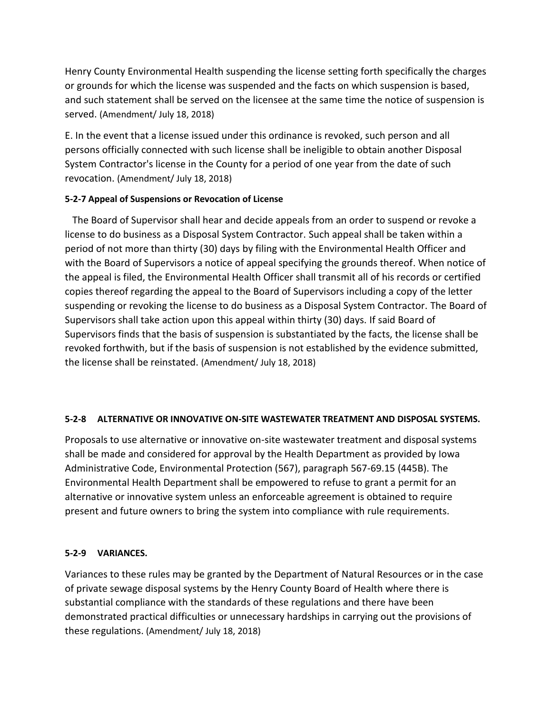Henry County Environmental Health suspending the license setting forth specifically the charges or grounds for which the license was suspended and the facts on which suspension is based, and such statement shall be served on the licensee at the same time the notice of suspension is served. (Amendment/ July 18, 2018)

E. In the event that a license issued under this ordinance is revoked, such person and all persons officially connected with such license shall be ineligible to obtain another Disposal System Contractor's license in the County for a period of one year from the date of such revocation. (Amendment/ July 18, 2018)

# **5-2-7 Appeal of Suspensions or Revocation of License**

 The Board of Supervisor shall hear and decide appeals from an order to suspend or revoke a license to do business as a Disposal System Contractor. Such appeal shall be taken within a period of not more than thirty (30) days by filing with the Environmental Health Officer and with the Board of Supervisors a notice of appeal specifying the grounds thereof. When notice of the appeal is filed, the Environmental Health Officer shall transmit all of his records or certified copies thereof regarding the appeal to the Board of Supervisors including a copy of the letter suspending or revoking the license to do business as a Disposal System Contractor. The Board of Supervisors shall take action upon this appeal within thirty (30) days. If said Board of Supervisors finds that the basis of suspension is substantiated by the facts, the license shall be revoked forthwith, but if the basis of suspension is not established by the evidence submitted, the license shall be reinstated. (Amendment/ July 18, 2018)

# **5-2-8 ALTERNATIVE OR INNOVATIVE ON-SITE WASTEWATER TREATMENT AND DISPOSAL SYSTEMS.**

Proposals to use alternative or innovative on-site wastewater treatment and disposal systems shall be made and considered for approval by the Health Department as provided by Iowa Administrative Code, Environmental Protection (567), paragraph 567-69.15 (445B). The Environmental Health Department shall be empowered to refuse to grant a permit for an alternative or innovative system unless an enforceable agreement is obtained to require present and future owners to bring the system into compliance with rule requirements.

# **5-2-9 VARIANCES.**

Variances to these rules may be granted by the Department of Natural Resources or in the case of private sewage disposal systems by the Henry County Board of Health where there is substantial compliance with the standards of these regulations and there have been demonstrated practical difficulties or unnecessary hardships in carrying out the provisions of these regulations. (Amendment/ July 18, 2018)